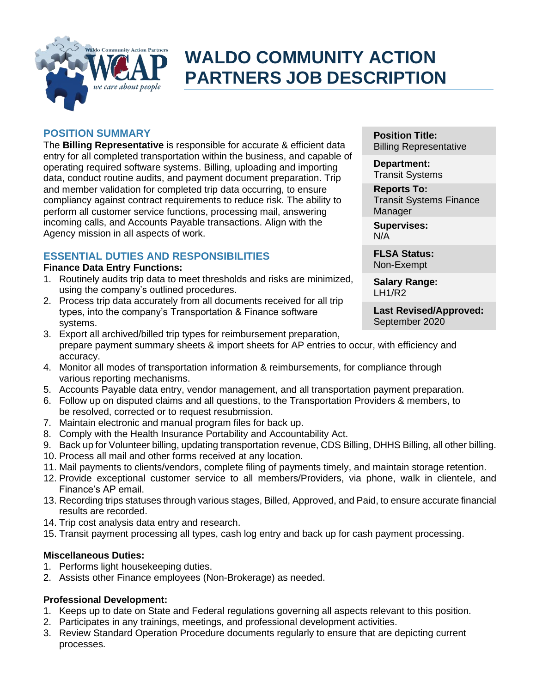

# **WALDO COMMUNITY ACTION PARTNERS JOB DESCRIPTION**

## **POSITION SUMMARY**

The **Billing Representative** is responsible for accurate & efficient data entry for all completed transportation within the business, and capable of operating required software systems. Billing, uploading and importing data, conduct routine audits, and payment document preparation. Trip and member validation for completed trip data occurring, to ensure compliancy against contract requirements to reduce risk. The ability to perform all customer service functions, processing mail, answering incoming calls, and Accounts Payable transactions. Align with the Agency mission in all aspects of work.

# **ESSENTIAL DUTIES AND RESPONSIBILITIES**

## **Finance Data Entry Functions:**

- 1. Routinely audits trip data to meet thresholds and risks are minimized, using the company's outlined procedures.
- 2. Process trip data accurately from all documents received for all trip types, into the company's Transportation & Finance software systems.

**Position Title:** Billing Representative

**Department:** Transit Systems

**Reports To:** Transit Systems Finance **Manager** 

**Supervises:** N/A

**FLSA Status:** Non-Exempt

**Salary Range:** LH1/R2

**Last Revised/Approved:** September 2020

- 3. Export all archived/billed trip types for reimbursement preparation, prepare payment summary sheets & import sheets for AP entries to occur, with efficiency and accuracy.
- 4. Monitor all modes of transportation information & reimbursements, for compliance through various reporting mechanisms.
- 5. Accounts Payable data entry, vendor management, and all transportation payment preparation.
- 6. Follow up on disputed claims and all questions, to the Transportation Providers & members, to be resolved, corrected or to request resubmission.
- 7. Maintain electronic and manual program files for back up.
- 8. Comply with the Health Insurance Portability and Accountability Act.
- 9. Back up for Volunteer billing, updating transportation revenue, CDS Billing, DHHS Billing, all other billing.
- 10. Process all mail and other forms received at any location.
- 11. Mail payments to clients/vendors, complete filing of payments timely, and maintain storage retention.
- 12. Provide exceptional customer service to all members/Providers, via phone, walk in clientele, and Finance's AP email.
- 13. Recording trips statuses through various stages, Billed, Approved, and Paid, to ensure accurate financial results are recorded.
- 14. Trip cost analysis data entry and research.
- 15. Transit payment processing all types, cash log entry and back up for cash payment processing.

## **Miscellaneous Duties:**

- 1. Performs light housekeeping duties.
- 2. Assists other Finance employees (Non-Brokerage) as needed.

# **Professional Development:**

- 1. Keeps up to date on State and Federal regulations governing all aspects relevant to this position.
- 2. Participates in any trainings, meetings, and professional development activities.
- 3. Review Standard Operation Procedure documents regularly to ensure that are depicting current processes.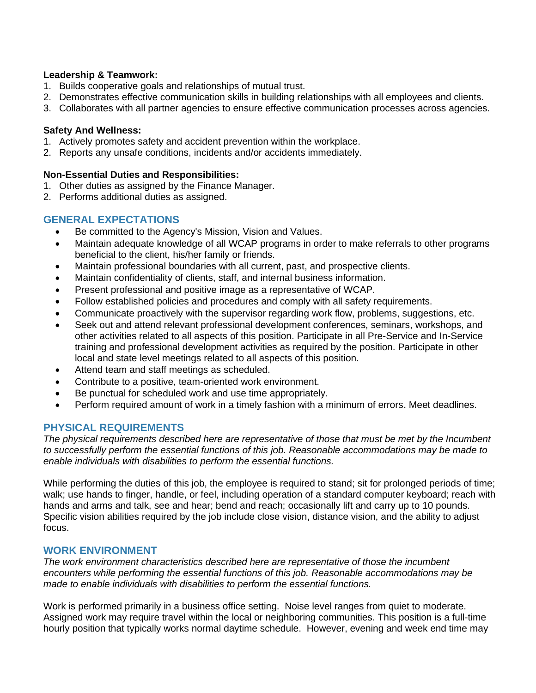### **Leadership & Teamwork:**

- 1. Builds cooperative goals and relationships of mutual trust.
- 2. Demonstrates effective communication skills in building relationships with all employees and clients.
- 3. Collaborates with all partner agencies to ensure effective communication processes across agencies.

#### **Safety And Wellness:**

- 1. Actively promotes safety and accident prevention within the workplace.
- 2. Reports any unsafe conditions, incidents and/or accidents immediately.

#### **Non-Essential Duties and Responsibilities:**

- 1. Other duties as assigned by the Finance Manager.
- 2. Performs additional duties as assigned.

## **GENERAL EXPECTATIONS**

- Be committed to the Agency's Mission, Vision and Values.
- Maintain adequate knowledge of all WCAP programs in order to make referrals to other programs beneficial to the client, his/her family or friends.
- Maintain professional boundaries with all current, past, and prospective clients.
- Maintain confidentiality of clients, staff, and internal business information.
- Present professional and positive image as a representative of WCAP.
- Follow established policies and procedures and comply with all safety requirements.
- Communicate proactively with the supervisor regarding work flow, problems, suggestions, etc.
- Seek out and attend relevant professional development conferences, seminars, workshops, and other activities related to all aspects of this position. Participate in all Pre-Service and In-Service training and professional development activities as required by the position. Participate in other local and state level meetings related to all aspects of this position.
- Attend team and staff meetings as scheduled.
- Contribute to a positive, team-oriented work environment.
- Be punctual for scheduled work and use time appropriately.
- Perform required amount of work in a timely fashion with a minimum of errors. Meet deadlines.

# **PHYSICAL REQUIREMENTS**

*The physical requirements described here are representative of those that must be met by the Incumbent to successfully perform the essential functions of this job. Reasonable accommodations may be made to enable individuals with disabilities to perform the essential functions.*

While performing the duties of this job, the employee is required to stand; sit for prolonged periods of time; walk; use hands to finger, handle, or feel, including operation of a standard computer keyboard; reach with hands and arms and talk, see and hear; bend and reach; occasionally lift and carry up to 10 pounds. Specific vision abilities required by the job include close vision, distance vision, and the ability to adjust focus.

## **WORK ENVIRONMENT**

*The work environment characteristics described here are representative of those the incumbent encounters while performing the essential functions of this job. Reasonable accommodations may be made to enable individuals with disabilities to perform the essential functions.* 

Work is performed primarily in a business office setting. Noise level ranges from quiet to moderate. Assigned work may require travel within the local or neighboring communities. This position is a full-time hourly position that typically works normal daytime schedule. However, evening and week end time may